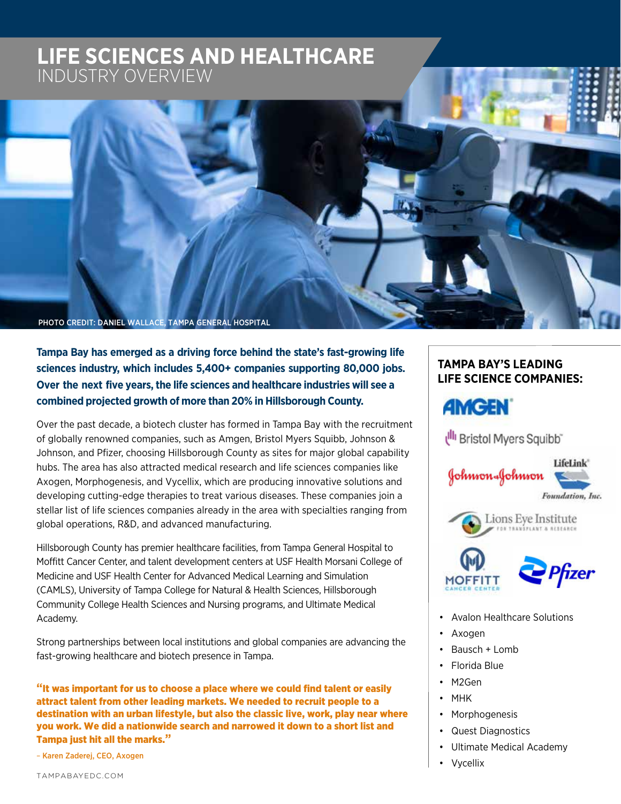# **LIFE SCIENCES AND HEALTHCARE LIFE SCIENCES AND HEALTHCARE** INDUSTRY OVERVIEW



**Tampa Bay has emerged as a driving force behind the state's fast-growing life sciences industry, which includes 5,400+ companies supporting 80,000 jobs. Over the next five years,the life sciences and healthcare industries will see a combined projected growth of more than 20% in Hillsborough County.**

Over the past decade, a biotech cluster has formed in Tampa Bay with the recruitment of globally renowned companies, such as Amgen, Bristol Myers Squibb, Johnson & Johnson, and Pfizer, choosing Hillsborough County as sites for major global capability hubs. The area has also attracted medical research and life sciences companies like Axogen, Morphogenesis, and Vycellix, which are producing innovative solutions and developing cutting-edge therapies to treat various diseases. These companies join a stellar list of life sciences companies already in the area with specialties ranging from global operations, R&D, and advanced manufacturing.

Hillsborough County has premier healthcare facilities, from Tampa General Hospital to Moffitt Cancer Center, and talent development centers at USF Health Morsani College of Medicine and USF Health Center for Advanced Medical Learning and Simulation (CAMLS), University of Tampa College for Natural & Health Sciences, Hillsborough Community College Health Sciences and Nursing programs, and Ultimate Medical Academy.

Strong partnerships between local institutions and global companies are advancing the fast-growing healthcare and biotech presence in Tampa.

**"**It was important for us to choose a place where we could find talent or easily attract talent from other leading markets. We needed to recruit people to a destination with an urban lifestyle, but also the classic live, work, play near where you work. We did a nationwide search and narrowed it down to a short list and Tampa just hit all the marks.**"** 

– Karen Zaderej, CEO, Axogen

### **TAMPA BAY'S LEADING LIFE SCIENCE COMPANIES:**

# **AMGEN**

Illi Bristol Myers Squibb"







- Avalon Healthcare Solutions
- Axogen
- Bausch + Lomb
- Florida Blue
- M2Gen
- MHK
- Morphogenesis
- Quest Diagnostics
- Ultimate Medical Academy
- Vycellix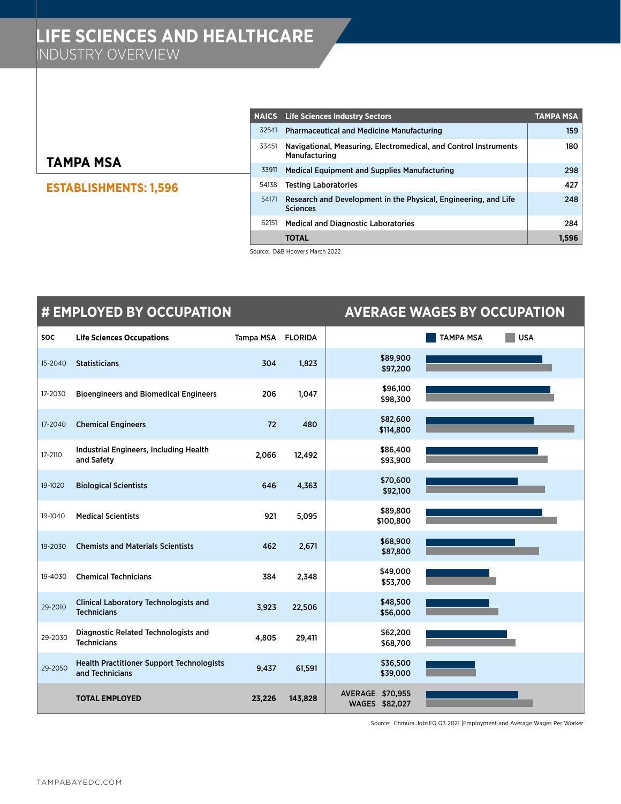### **TAMPA MSA**

### **ESTABLISHMENTS: 1,596**

|       | <b>NAICS</b> Life Sciences Industry Sectors                                        | TAMPA MSA |
|-------|------------------------------------------------------------------------------------|-----------|
| 32541 | <b>Pharmaceutical and Medicine Manufacturing</b>                                   | 159       |
| 33451 | Navigational, Measuring, Electromedical, and Control Instruments<br>Manufacturing  | 180       |
| 33911 | <b>Medical Equipment and Supplies Manufacturing</b>                                | 298       |
| 54138 | <b>Testing Laboratories</b>                                                        | 427       |
| 54171 | Research and Development in the Physical, Engineering, and Life<br><b>Sciences</b> | 248       |
| 62151 | <b>Medical and Diagnostic Laboratories</b>                                         | 284       |
|       | <b>TOTAL</b>                                                                       | 1.596     |

Source: D&B Hoovers March 2022

|            | # EMPLOYED BY OCCUPATION<br><b>AVERAGE WAGES BY OCCUPATION</b>      |           |                |                                           |                  |            |
|------------|---------------------------------------------------------------------|-----------|----------------|-------------------------------------------|------------------|------------|
| <b>SOC</b> | <b>Life Sciences Occupations</b>                                    | Tampa MSA | <b>FLORIDA</b> |                                           | <b>TAMPA MSA</b> | <b>USA</b> |
| 15-2040    | <b>Statisticians</b>                                                | 304       | 1,823          | \$89,900<br>\$97,200                      |                  |            |
| 17-2030    | <b>Bioengineers and Biomedical Engineers</b>                        | 206       | 1,047          | \$96,100<br>\$98,300                      |                  |            |
| 17-2040    | <b>Chemical Engineers</b>                                           | 72        | 480            | \$82,600<br>\$114,800                     |                  |            |
| 17-2110    | Industrial Engineers, Including Health<br>and Safety                | 2,066     | 12,492         | \$86,400<br>\$93,900                      |                  |            |
| 19-1020    | <b>Biological Scientists</b>                                        | 646       | 4,363          | \$70,600<br>\$92,100                      |                  |            |
| 19-1040    | <b>Medical Scientists</b>                                           | 921       | 5,095          | \$89,800<br>\$100,800                     |                  |            |
| 19-2030    | <b>Chemists and Materials Scientists</b>                            | 462       | 2,671          | \$68,900<br>\$87,800                      |                  |            |
| 19-4030    | <b>Chemical Technicians</b>                                         | 384       | 2,348          | \$49,000<br>\$53,700                      |                  |            |
| 29-2010    | <b>Clinical Laboratory Technologists and</b><br><b>Technicians</b>  | 3,923     | 22,506         | \$48,500<br>\$56,000                      |                  |            |
| 29-2030    | Diagnostic Related Technologists and<br><b>Technicians</b>          | 4,805     | 29,411         | \$62,200<br>\$68,700                      |                  |            |
| 29-2050    | <b>Health Practitioner Support Technologists</b><br>and Technicians | 9,437     | 61,591         | \$36,500<br>\$39,000                      |                  |            |
|            | <b>TOTAL EMPLOYED</b>                                               | 23,226    | 143,828        | <b>AVERAGE \$70,955</b><br>WAGES \$82,027 |                  |            |

Source: Chmura JobsEQ Q3 2021 |Employment and Average Wages Per Worker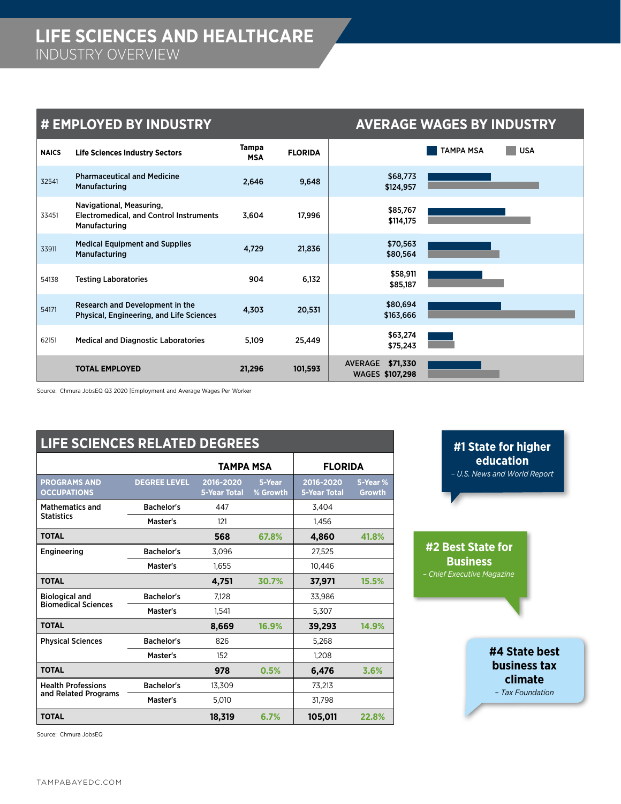### **# EMPLOYED BY INDUSTRY AVERAGE WAGES BY INDUSTRY**

| <b>NAICS</b> | <b>Life Sciences Industry Sectors</b>                                                              | Tampa<br><b>MSA</b> | <b>FLORIDA</b> | <b>USA</b><br><b>TAMPA MSA</b>                |
|--------------|----------------------------------------------------------------------------------------------------|---------------------|----------------|-----------------------------------------------|
| 32541        | <b>Pharmaceutical and Medicine</b><br>Manufacturing                                                | 2,646               | 9,648          | \$68,773<br>\$124,957                         |
| 33451        | Navigational, Measuring,<br><b>Electromedical, and Control Instruments</b><br><b>Manufacturing</b> | 3,604               | 17,996         | \$85,767<br>\$114,175                         |
| 33911        | <b>Medical Equipment and Supplies</b><br>Manufacturing                                             | 4,729               | 21,836         | \$70,563<br>\$80,564                          |
| 54138        | <b>Testing Laboratories</b>                                                                        | 904                 | 6,132          | \$58,911<br>\$85,187                          |
| 54171        | Research and Development in the<br>Physical, Engineering, and Life Sciences                        | 4,303               | 20,531         | \$80,694<br>\$163,666                         |
| 62151        | <b>Medical and Diagnostic Laboratories</b>                                                         | 5,109               | 25,449         | \$63,274<br>\$75,243                          |
|              | <b>TOTAL EMPLOYED</b>                                                                              | 21,296              | 101,593        | \$71,330<br><b>AVERAGE</b><br>WAGES \$107,298 |

Source: Chmura JobsEQ Q3 2020 |Employment and Average Wages Per Worker

| <b>LIFE SCIENCES RELATED DEGREES</b>      |                     |                                  |                    |                                  |                           |  |  |
|-------------------------------------------|---------------------|----------------------------------|--------------------|----------------------------------|---------------------------|--|--|
|                                           |                     | TAMPA MSA                        |                    | <b>FLORIDA</b>                   |                           |  |  |
| <b>PROGRAMS AND</b><br><b>OCCUPATIONS</b> | <b>DEGREE LEVEL</b> | 2016-2020<br><b>5-Year Total</b> | 5-Year<br>% Growth | 2016-2020<br><b>5-Year Total</b> | 5-Year %<br><b>Growth</b> |  |  |
| <b>Mathematics and</b>                    | <b>Bachelor's</b>   | 447                              |                    | 3,404                            |                           |  |  |
| <b>Statistics</b>                         | Master's            | 121                              |                    | 1.456                            |                           |  |  |
| <b>TOTAL</b>                              |                     | 568                              | 67.8%              | 4,860                            | 41.8%                     |  |  |
| Engineering                               | <b>Bachelor's</b>   | 3,096                            |                    | 27,525                           |                           |  |  |
|                                           | Master's            | 1.655                            |                    | 10.446                           |                           |  |  |
| <b>TOTAL</b>                              |                     | 4,751                            | 30.7%              | 37,971                           | 15.5%                     |  |  |
| <b>Biological and</b>                     | <b>Bachelor's</b>   | 7,128                            |                    | 33,986                           |                           |  |  |
| <b>Biomedical Sciences</b>                | Master's            | 1,541                            |                    | 5,307                            |                           |  |  |
| <b>TOTAL</b>                              |                     | 8,669                            | 16.9%              | 39,293                           | 14.9%                     |  |  |
| <b>Physical Sciences</b>                  | <b>Bachelor's</b>   | 826                              |                    | 5.268                            |                           |  |  |
|                                           | Master's            | 152                              |                    | 1,208                            |                           |  |  |
| <b>TOTAL</b>                              |                     | 978                              | 0.5%               | 6,476                            | 3.6%                      |  |  |
| <b>Health Professions</b>                 | <b>Bachelor's</b>   | 13,309                           |                    | 73,213                           |                           |  |  |
| and Related Programs                      | Master's            | 5,010                            |                    | 31,798                           |                           |  |  |
| <b>TOTAL</b>                              |                     | 18,319                           | 6.7%               | 105,011                          | 22.8%                     |  |  |

**#1 State for higher education** *– U.S. News and World Report*

**#2 Best State for Business** *– Chief Executive Magazine*

> **#4 State best business tax climate**  – *Tax Foundation*

Source: Chmura JobsEQ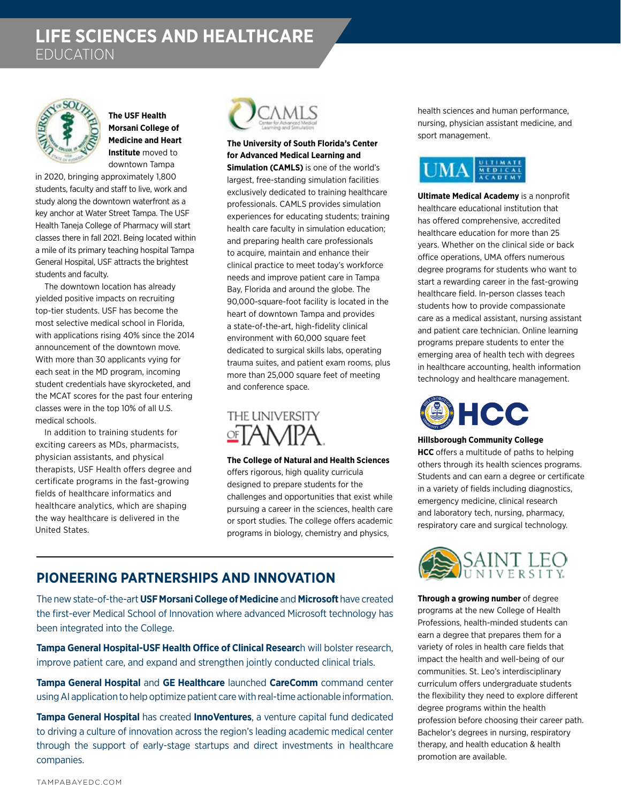# **LIFE SCIENCES AND HEALTHCARE** EDUCATION



**The USF Health Morsani College of Medicine and Heart Institute** moved to downtown Tampa

in 2020, bringing approximately 1,800 students, faculty and staff to live, work and study along the downtown waterfront as a key anchor at Water Street Tampa. The USF Health Taneja College of Pharmacy will start classes there in fall 2021. Being located within a mile of its primary teaching hospital Tampa General Hospital, USF attracts the brightest students and faculty.

The downtown location has already yielded positive impacts on recruiting top-tier students. USF has become the most selective medical school in Florida, with applications rising 40% since the 2014 announcement of the downtown move. With more than 30 applicants vying for each seat in the MD program, incoming student credentials have skyrocketed, and the MCAT scores for the past four entering classes were in the top 10% of all U.S. medical schools.

In addition to training students for exciting careers as MDs, pharmacists, physician assistants, and physical therapists, USF Health offers degree and certificate programs in the fast-growing fields of healthcare informatics and healthcare analytics, which are shaping the way healthcare is delivered in the United States.



**The University of South Florida's Center for Advanced Medical Learning and Simulation (CAMLS)** is one of the world's largest, free-standing simulation facilities exclusively dedicated to training healthcare professionals. CAMLS provides simulation experiences for educating students; training health care faculty in simulation education; and preparing health care professionals to acquire, maintain and enhance their clinical practice to meet today's workforce needs and improve patient care in Tampa Bay, Florida and around the globe. The 90,000-square-foot facility is located in the heart of downtown Tampa and provides a state-of-the-art, high-fidelity clinical environment with 60,000 square feet dedicated to surgical skills labs, operating trauma suites, and patient exam rooms, plus more than 25,000 square feet of meeting and conference space.

# THE UNIVERSITY 空TAN⁄IPA

**The College of Natural and Health Sciences**  offers rigorous, high quality curricula designed to prepare students for the challenges and opportunities that exist while pursuing a career in the sciences, health care or sport studies. The college offers academic programs in biology, chemistry and physics,

## **PIONEERING PARTNERSHIPS AND INNOVATION**

The new state-of-the-art **USF Morsani College of Medicine** and **Microsoft** have created the first-ever Medical School of Innovation where advanced Microsoft technology has been integrated into the College.

**Tampa General Hospital-USF Health Office of Clinical Researc**h will bolster research, improve patient care, and expand and strengthen jointly conducted clinical trials.

**Tampa General Hospital** and **GE Healthcare** launched **CareComm** command center using AI application to help optimize patient care with real-time actionable information.

**Tampa General Hospital** has created **InnoVentures**, a venture capital fund dedicated to driving a culture of innovation across the region's leading academic medical center through the support of early-stage startups and direct investments in healthcare companies.

health sciences and human performance, nursing, physician assistant medicine, and sport management.



**Ultimate Medical Academy** is a nonprofit healthcare educational institution that has offered comprehensive, accredited healthcare education for more than 25 years. Whether on the clinical side or back office operations, UMA offers numerous degree programs for students who want to start a rewarding career in the fast-growing healthcare field. In-person classes teach students how to provide compassionate care as a medical assistant, nursing assistant and patient care technician. Online learning programs prepare students to enter the emerging area of health tech with degrees in healthcare accounting, health information technology and healthcare management.



#### **Hillsborough Community College**

**HCC** offers a multitude of paths to helping others through its health sciences programs. Students and can earn a degree or certificate in a variety of fields including diagnostics, emergency medicine, clinical research and laboratory tech, nursing, pharmacy, respiratory care and surgical technology.



**Through a growing number** of degree programs at the new College of Health Professions, health-minded students can earn a degree that prepares them for a variety of roles in health care fields that impact the health and well-being of our communities. St. Leo's interdisciplinary curriculum offers undergraduate students the flexibility they need to explore different degree programs within the health profession before choosing their career path. Bachelor's degrees in nursing, respiratory therapy, and health education & health promotion are available.